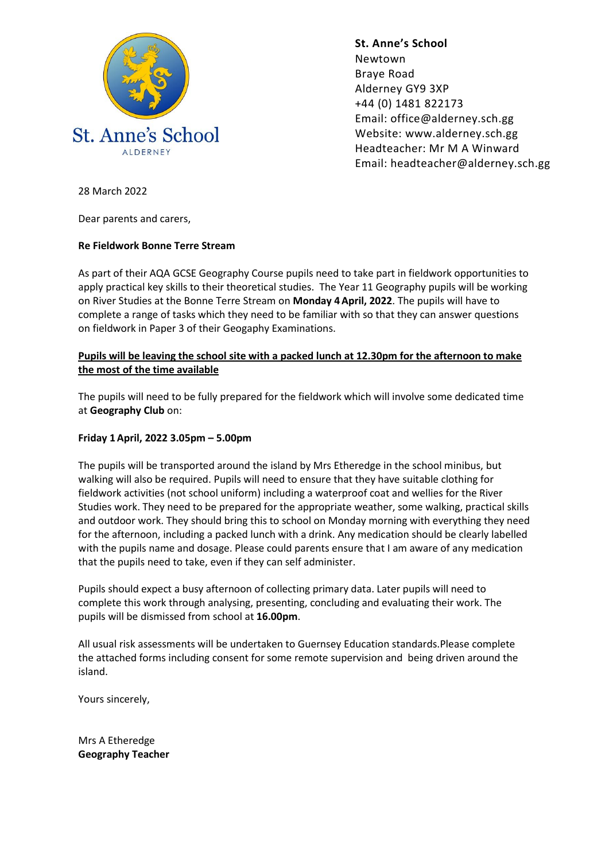

**St. Anne's School**  Newtown Braye Road Alderney GY9 3XP +44 (0) 1481 822173 Email: office@alderney.sch.gg Website: www.alderney.sch.gg Headteacher: Mr M A Winward Email: headteacher@alderney.sch.gg

28 March 2022

Dear parents and carers,

## **Re Fieldwork Bonne Terre Stream**

As part of their AQA GCSE Geography Course pupils need to take part in fieldwork opportunities to apply practical key skills to their theoretical studies. The Year 11 Geography pupils will be working on River Studies at the Bonne Terre Stream on **Monday 4April, 2022**. The pupils will have to complete a range of tasks which they need to be familiar with so that they can answer questions on fieldwork in Paper 3 of their Geogaphy Examinations.

## **Pupils will be leaving the school site with a packed lunch at 12.30pm for the afternoon to make the most of the time available**

The pupils will need to be fully prepared for the fieldwork which will involve some dedicated time at **Geography Club** on:

## **Friday 1April, 2022 3.05pm – 5.00pm**

The pupils will be transported around the island by Mrs Etheredge in the school minibus, but walking will also be required. Pupils will need to ensure that they have suitable clothing for fieldwork activities (not school uniform) including a waterproof coat and wellies for the River Studies work. They need to be prepared for the appropriate weather, some walking, practical skills and outdoor work. They should bring this to school on Monday morning with everything they need for the afternoon, including a packed lunch with a drink. Any medication should be clearly labelled with the pupils name and dosage. Please could parents ensure that I am aware of any medication that the pupils need to take, even if they can self administer.

Pupils should expect a busy afternoon of collecting primary data. Later pupils will need to complete this work through analysing, presenting, concluding and evaluating their work. The pupils will be dismissed from school at **16.00pm**.

All usual risk assessments will be undertaken to Guernsey Education standards.Please complete the attached forms including consent for some remote supervision and being driven around the island.

Yours sincerely,

Mrs A Etheredge **Geography Teacher**